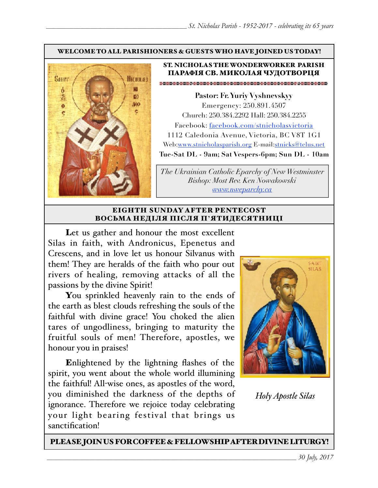#### WELCOME TO ALL PARISHIONERS & GUESTS WHO HAVE JOINED US TODAY!



### ST. NICHOLAS THE WONDERWORKER PARISH ПАРАФІЯ СВ. МИКОЛАЯ ЧУДОТВОРЦЯ

**Pastor: Fr. Yuriy Vyshnevskyy** Emergency: 250.891.4507 Church: 250.384.2292 Hall: 250.384.2255 Facebook: facebook.com/stnicholasvictoria 1112 Caledonia Avenue, Victoria, BC V8T 1G1 Web[:www.stnicholasparish.org](http://www.stnicholasparish.org) E-mail:[stnicks@telus.net](mailto:stnicks@telus.net) **Tue-Sat DL - 9am; Sat Vespers-6pm; Sun DL - 10am**

*The Ukrainian Catholic Eparchy of New Westminster Bishop: Most Rev. Ken Nowakowski [www.nweparchy.ca](http://www.nweparchy.ca)*

#### EIGHTH SUNDAY AFTER PENTECOST ВОСЬМА НЕДІЛЯ ПІСЛЯ П**'**ЯТИДЕСЯТНИЦІ

Let us gather and honour the most excellent Silas in faith, with Andronicus, Epenetus and Crescens, and in love let us honour Silvanus with them! They are heralds of the faith who pour out rivers of healing, removing attacks of all the passions by the divine Spirit!

You sprinkled heavenly rain to the ends of the earth as blest clouds refreshing the souls of the faithful with divine grace! You choked the alien tares of ungodliness, bringing to maturity the fruitful souls of men! Therefore, apostles, we honour you in praises!

Enlightened by the lightning flashes of the spirit, you went about the whole world illumining the faithful! All-wise ones, as apostles of the word, you diminished the darkness of the depths of ignorance. Therefore we rejoice today celebrating your light bearing festival that brings us sanctification!



*Holy Apostle Silas*

PLEASE JOIN US FOR COFFEE & FELLOWSHIP AFTER DIVINE LITURGY!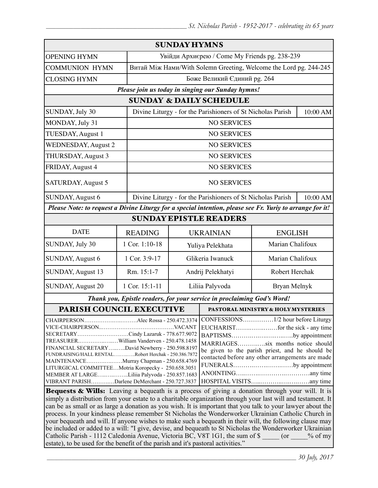| <b>SUNDAY HYMNS</b>                                                                                                                                                                                                                                                                                                                                                                                                                                                                                                                                                                                                                                                                                                                                                                    |                |                                                                   |                                               |              |                |  |
|----------------------------------------------------------------------------------------------------------------------------------------------------------------------------------------------------------------------------------------------------------------------------------------------------------------------------------------------------------------------------------------------------------------------------------------------------------------------------------------------------------------------------------------------------------------------------------------------------------------------------------------------------------------------------------------------------------------------------------------------------------------------------------------|----------------|-------------------------------------------------------------------|-----------------------------------------------|--------------|----------------|--|
| <b>OPENING HYMN</b>                                                                                                                                                                                                                                                                                                                                                                                                                                                                                                                                                                                                                                                                                                                                                                    |                | Увійди Архиєрею / Come My Friends pg. 238-239                     |                                               |              |                |  |
| <b>COMMUNION HYMN</b>                                                                                                                                                                                                                                                                                                                                                                                                                                                                                                                                                                                                                                                                                                                                                                  |                | Витай Між Нами/With Solemn Greeting, Welcome the Lord pg. 244-245 |                                               |              |                |  |
| <b>CLOSING HYMN</b>                                                                                                                                                                                                                                                                                                                                                                                                                                                                                                                                                                                                                                                                                                                                                                    |                | Боже Великий Єдиний рg. 264                                       |                                               |              |                |  |
| Please join us today in singing our Sunday hymns!                                                                                                                                                                                                                                                                                                                                                                                                                                                                                                                                                                                                                                                                                                                                      |                |                                                                   |                                               |              |                |  |
| <b>SUNDAY &amp; DAILY SCHEDULE</b>                                                                                                                                                                                                                                                                                                                                                                                                                                                                                                                                                                                                                                                                                                                                                     |                |                                                                   |                                               |              |                |  |
| SUNDAY, July 30                                                                                                                                                                                                                                                                                                                                                                                                                                                                                                                                                                                                                                                                                                                                                                        |                | Divine Liturgy - for the Parishioners of St Nicholas Parish       |                                               | 10:00 AM     |                |  |
| MONDAY, July 31                                                                                                                                                                                                                                                                                                                                                                                                                                                                                                                                                                                                                                                                                                                                                                        |                | <b>NO SERVICES</b>                                                |                                               |              |                |  |
| TUESDAY, August 1                                                                                                                                                                                                                                                                                                                                                                                                                                                                                                                                                                                                                                                                                                                                                                      |                | <b>NO SERVICES</b>                                                |                                               |              |                |  |
| <b>WEDNESDAY, August 2</b>                                                                                                                                                                                                                                                                                                                                                                                                                                                                                                                                                                                                                                                                                                                                                             |                | <b>NO SERVICES</b>                                                |                                               |              |                |  |
| THURSDAY, August 3                                                                                                                                                                                                                                                                                                                                                                                                                                                                                                                                                                                                                                                                                                                                                                     |                | <b>NO SERVICES</b>                                                |                                               |              |                |  |
| FRIDAY, August 4                                                                                                                                                                                                                                                                                                                                                                                                                                                                                                                                                                                                                                                                                                                                                                       |                | <b>NO SERVICES</b>                                                |                                               |              |                |  |
| SATURDAY, August 5                                                                                                                                                                                                                                                                                                                                                                                                                                                                                                                                                                                                                                                                                                                                                                     |                | <b>NO SERVICES</b>                                                |                                               |              |                |  |
| <b>SUNDAY, August 6</b>                                                                                                                                                                                                                                                                                                                                                                                                                                                                                                                                                                                                                                                                                                                                                                |                | Divine Liturgy - for the Parishioners of St Nicholas Parish       |                                               |              | 10:00 AM       |  |
| Please Note: to request a Divine Liturgy for a special intention, please see Fr. Yuriy to arrange for it!                                                                                                                                                                                                                                                                                                                                                                                                                                                                                                                                                                                                                                                                              |                |                                                                   |                                               |              |                |  |
| <b>SUNDAY EPISTLE READERS</b>                                                                                                                                                                                                                                                                                                                                                                                                                                                                                                                                                                                                                                                                                                                                                          |                |                                                                   |                                               |              |                |  |
| <b>DATE</b>                                                                                                                                                                                                                                                                                                                                                                                                                                                                                                                                                                                                                                                                                                                                                                            | <b>READING</b> |                                                                   | <b>UKRAINIAN</b><br><b>ENGLISH</b>            |              |                |  |
| SUNDAY, July 30                                                                                                                                                                                                                                                                                                                                                                                                                                                                                                                                                                                                                                                                                                                                                                        | 1 Cor. 1:10-18 |                                                                   | Marian Chalifoux<br>Yuliya Pelekhata          |              |                |  |
| SUNDAY, August 6                                                                                                                                                                                                                                                                                                                                                                                                                                                                                                                                                                                                                                                                                                                                                                       | 1 Cor. 3:9-17  |                                                                   | Glikeria Iwanuck<br>Marian Chalifoux          |              |                |  |
| SUNDAY, August 13                                                                                                                                                                                                                                                                                                                                                                                                                                                                                                                                                                                                                                                                                                                                                                      | Rm. 15:1-7     | Andrij Pelekhatyi                                                 |                                               |              | Robert Herchak |  |
| <b>SUNDAY, August 20</b>                                                                                                                                                                                                                                                                                                                                                                                                                                                                                                                                                                                                                                                                                                                                                               | 1 Cor. 15:1-11 | Liliia Palyvoda                                                   |                                               | Bryan Melnyk |                |  |
| Thank you, Epistle readers, for your service in proclaiming God's Word!                                                                                                                                                                                                                                                                                                                                                                                                                                                                                                                                                                                                                                                                                                                |                |                                                                   |                                               |              |                |  |
| <b>PARISH COUNCIL EXECUTIVE</b>                                                                                                                                                                                                                                                                                                                                                                                                                                                                                                                                                                                                                                                                                                                                                        |                |                                                                   | <b>PASTORAL MINISTRY &amp; HOLY MYSTERIES</b> |              |                |  |
| CONFESSIONS1/2 hour before Liturgy<br>CHAIRPERSONAlec Rossa - 250.472.3374<br>SECRETARYCindy Lazaruk - 778.677.9072<br>BAPTISMSby appointment<br>TREASURERWilliam Vanderven - 250.478.1458<br>MARRIAGESsix months notice should<br>FINANCIAL SECRETARYDavid Newberry - 250.598.8197<br>be given to the parish priest, and he should be<br>FUNDRAISING/HALL RENTALRobert Herchak - 250.386.7872<br>contacted before any other arrangements are made<br>MAINTENANCEMurray Chapman - 250.658.4769<br>FUNERALSby appointment<br>LITURGICAL COMMITTEEMotria Koropecky - 250.658.3051<br>MEMBER AT LARGELiliia Palyvoda - 250.857.1683<br>VIBRANT PARISHDarlene DeMerchant - 250.727.3837<br>Bequests & Wills: Leaving a bequeath is a process of giving a donation through your will. It is |                |                                                                   |                                               |              |                |  |
| simply a distribution from your estate to a charitable organization through your last will and testament. It                                                                                                                                                                                                                                                                                                                                                                                                                                                                                                                                                                                                                                                                           |                |                                                                   |                                               |              |                |  |

can be as small or as large a donation as you wish. It is important that you talk to your lawyer about the process. In your kindness please remember St Nicholas the Wonderworker Ukrainian Catholic Church in your bequeath and will. If anyone wishes to make such a bequeath in their will, the following clause may be included or added to a will: "I give, devise, and bequeath to St Nicholas the Wonderworker Ukrainian Catholic Parish - 1112 Caledonia Avenue, Victoria BC, V8T 1G1, the sum of \$  $\qquad \qquad$  (or  $\qquad \qquad$  % of my estate), to be used for the benefit of the parish and it's pastoral activities."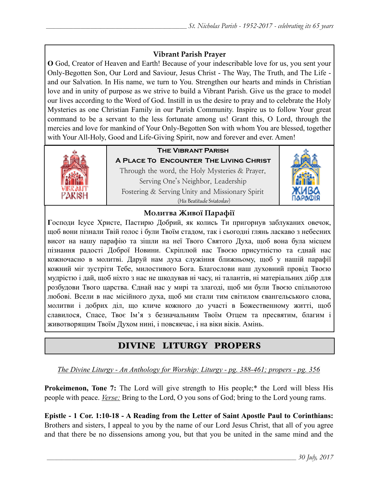### **Vibrant Parish Prayer**

**O** God, Creator of Heaven and Earth! Because of your indescribable love for us, you sent your Only-Begotten Son, Our Lord and Saviour, Jesus Christ - The Way, The Truth, and The Life and our Salvation. In His name, we turn to You. Strengthen our hearts and minds in Christian love and in unity of purpose as we strive to build a Vibrant Parish. Give us the grace to model our lives according to the Word of God. Instill in us the desire to pray and to celebrate the Holy Mysteries as one Christian Family in our Parish Community. Inspire us to follow Your great command to be a servant to the less fortunate among us! Grant this, O Lord, through the mercies and love for mankind of Your Only-Begotten Son with whom You are blessed, together with Your All-Holy, Good and Life-Giving Spirit, now and forever and ever. Amen!



## **The Vibrant Parish**

**A Place To Encounter The Living Christ** Through the word, the Holy Mysteries & Prayer, Serving One's Neighbor, Leadership Fostering & Serving Unity and Missionary Spirit (His Beatitude Sviatoslav)



### **Молитва Живої Парафії**

**Г**осподи Ісусе Христе, Пастирю Добрий, як колись Ти пригорнув заблуканих овечок, щоб вони пізнали Твій голос і були Твоїм стадом, так і сьогодні глянь ласкаво з небесних висот на нашу парафію та зішли на неї Твого Святого Духа, щоб вона була місцем пізнання радості Доброї Новини. Скріплюй нас Твоєю присутністю та єднай нас кожночасно в молитві. Даруй нам духа служіння ближньому, щоб у нашій парафії кожний міг зустріти Тебе, милостивого Бога. Благослови наш духовний провід Твоєю мудрістю і дай, щоб ніхто з нас не шкодував ні часу, ні талантів, ні матеріальних дібр для розбудови Твого царства. Єднай нас у мирі та злагоді, щоб ми були Твоєю спільнотою любові. Всели в нас місійного духа, щоб ми стали тим світилом євангельського слова, молитви і добрих діл, що кличе кожного до участі в Божественному житті, щоб славилося, Спасе, Твоє Ім'я з безначальним Твоїм Отцем та пресвятим, благим і животворящим Твоїм Духом нині, і повсякчас, і на віки віків. Амінь.

# DIVINE LITURGY PROPERS

*The Divine Liturgy - An Anthology for Worship: Liturgy - pg. 388-461; propers - pg. 356* 

**Prokeimenon, Tone 7:** The Lord will give strength to His people;<sup>\*</sup> the Lord will bless His people with peace. *Verse:* Bring to the Lord, O you sons of God; bring to the Lord young rams.

**Epistle - 1 Cor. 1:10-18 - A Reading from the Letter of Saint Apostle Paul to Corinthians:** Brothers and sisters, I appeal to you by the name of our Lord Jesus Christ, that all of you agree and that there be no dissensions among you, but that you be united in the same mind and the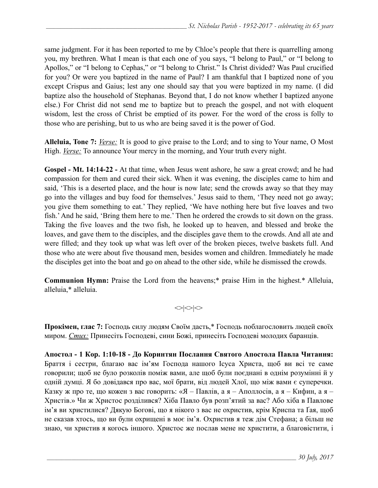same judgment. For it has been reported to me by Chloe's people that there is quarrelling among you, my brethren. What I mean is that each one of you says, "I belong to Paul," or "I belong to Apollos," or "I belong to Cephas," or "I belong to Christ." Is Christ divided? Was Paul crucified for you? Or were you baptized in the name of Paul? I am thankful that I baptized none of you except Crispus and Gaius; lest any one should say that you were baptized in my name. (I did baptize also the household of Stephanas. Beyond that, I do not know whether I baptized anyone else.) For Christ did not send me to baptize but to preach the gospel, and not with eloquent wisdom, lest the cross of Christ be emptied of its power. For the word of the cross is folly to those who are perishing, but to us who are being saved it is the power of God.

**Alleluia, Tone 7:** *Verse:* It is good to give praise to the Lord; and to sing to Your name, O Most High. *<u>Verse:</u>* To announce Your mercy in the morning, and Your truth every night.

**Gospel - Mt. 14:14-22 -** At that time, when Jesus went ashore, he saw a great crowd; and he had compassion for them and cured their sick. When it was evening, the disciples came to him and said, 'This is a deserted place, and the hour is now late; send the crowds away so that they may go into the villages and buy food for themselves.' Jesus said to them, 'They need not go away; you give them something to eat.' They replied, 'We have nothing here but five loaves and two fish.' And he said, 'Bring them here to me.' Then he ordered the crowds to sit down on the grass. Taking the five loaves and the two fish, he looked up to heaven, and blessed and broke the loaves, and gave them to the disciples, and the disciples gave them to the crowds. And all ate and were filled; and they took up what was left over of the broken pieces, twelve baskets full. And those who ate were about five thousand men, besides women and children. Immediately he made the disciples get into the boat and go on ahead to the other side, while he dismissed the crowds.

**Communion Hymn:** Praise the Lord from the heavens;\* praise Him in the highest.\* Alleluia, alleluia,\* alleluia.

 $\langle \rangle \langle \rangle$ 

**Прокімен, глас 7:** Господь силу людям Своїм дасть,\* Господь поблагословить людей своїх миром. *Стих:* Принесіть Господеві, сини Божі, принесіть Господеві молодих баранців.

**Апостол - 1 Кoр. 1:10-18 - До Коринтян Послання Святого Апостола Павла Читання:**  Браття і сестри, благаю вас ім'ям Господа нашого Ісуса Христа, щоб ви всі те саме говорили; щоб не було розколів поміж вами, але щоб були поєднані в однім розумінні й у одній думці. Я бо довідався про вас, мої брати, від людей Хлої, що між вами є суперечки. Казку ж про те, що кожен з вас говорить: «Я – Павлів, а я – Аполлосів, а я – Кифин, а я – Христів.» Чи ж Христос розділився? Хіба Павло був розп'ятий за вас? Або хіба в Павлове ім'я ви христилися? Дякую Богові, що я нікого з вас не охристив, крім Криспа та Ґая, щоб не сказав хтось, що ви були охрищені в моє ім'я. Охристив я теж дім Стефана; а більш не знаю, чи христив я когось іншого. Христос же послав мене не христити, а благовістити, і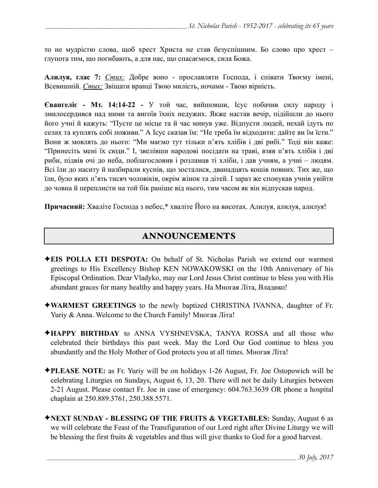то не мудрістю слова, щоб хрест Христа не став безуспішним. Бо слово про хрест – глупота тим, що погибають, а для нас, що спасаємося, сила Божа.

**Алилуя, глас 7:** *Стих:* Добре воно - прославляти Господа, і співати Твоєму імені, Всевишній. *Стих:* Звіщати вранці Твою милість, ночами - Твою вірність.

**Євангеліє - Мт. 14:14-22 -** У той час, вийшовши, Ісус побачив силу народу і змилосердився над ними та вигоїв їхніх недужих. Якже настав вечір, підійшли до нього його учні й кажуть: "Пусте це місце та й час минув уже. Відпусти людей, нехай ідуть по селах та куплять собі поживи." А Ісус сказав їм: "Не треба їм відходити: дайте ви їм їсти." Вони ж мовлять до нього: "Ми маємо тут тільки п'ять хлібів і дві рибі." Тоді він каже: "Принесіть мені їх сюди." І, звелівши народові посідати на траві, взяв п'ять хлібів і дві риби, підвів очі до неба, поблагословив і розламав ті хліби, і дав учням, а учні – людям. Всі їли до наситу й назбирали куснів, що зосталися, дванадцять кошів повних. Тих же, що їли, було яких п'ять тисяч чоловіків, окрім жінок та дітей. І зараз же спонукав учнів увійти до човна й переплисти на той бік раніше від нього, тим часом як він відпускав народ.

**Причасний:** Хваліте Господа з небес,\* хваліте Його на висотах. Алилуя, алилуя, алилуя!

# ANNOUNCEMENTS

- ✦**EIS POLLA ETI DESPOTA:** On behalf of St. Nicholas Parish we extend our warmest greetings to His Excellency Bishop KEN NOWAKOWSKI on the 10th Anniversary of his Episcopal Ordination. Dear Vladyko, may our Lord Jesus Christ continue to bless you with His abundant graces for many healthy and happy years. На Многая Літа, Владико!
- ✦**WARMEST GREETINGS** to the newly baptized CHRISTINA IVANNA, daughter of Fr. Yuriy & Anna. Welcome to the Church Family! Многая Літа!
- ✦**HAPPY BIRTHDAY** to ANNA VYSHNEVSKA, TANYA ROSSA and all those who celebrated their birthdays this past week. May the Lord Our God continue to bless you abundantly and the Holy Mother of God protects you at all times. Многая Літа!
- ✦**PLEASE NOTE:** as Fr. Yuriy will be on holidays 1-26 August, Fr. Joe Ostopowich will be celebrating Liturgies on Sundays, August 6, 13, 20. There will not be daily Liturgies between 2-21 August. Please contact Fr. Joe in case of emergency: 604.763.3639 OR phone a hospital chaplain at 250.889.3761, 250.388.5571.
- ✦**NEXT SUNDAY BLESSING OF THE FRUITS & VEGETABLES:** Sunday, August 6 as we will celebrate the Feast of the Transfiguration of our Lord right after Divine Liturgy we will be blessing the first fruits & vegetables and thus will give thanks to God for a good harvest.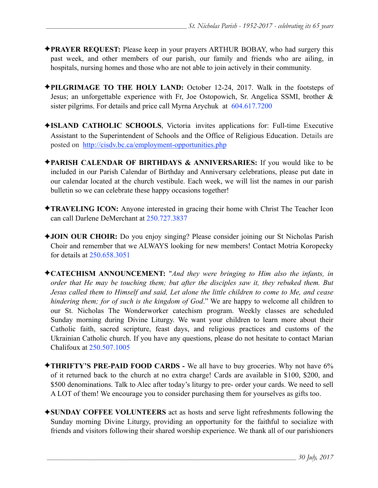- ✦**PRAYER REQUEST:** Please keep in your prayers ARTHUR BOBAY, who had surgery this past week, and other members of our parish, our family and friends who are ailing, in hospitals, nursing homes and those who are not able to join actively in their community.
- ✦**PILGRIMAGE TO THE HOLY LAND:** October 12-24, 2017. Walk in the footsteps of Jesus; an unforgettable experience with Fr, Joe Ostopowich, Sr. Angelica SSMI, brother & sister pilgrims. For details and price call Myrna Arychuk at 604.617.7200
- ✦**ISLAND CATHOLIC SCHOOLS**, Victoria invites applications for: Full-time Executive Assistant to the Superintendent of Schools and the Office of Religious Education. Details are posted on <http://cisdv.bc.ca/employment-opportunities.php>
- ✦**PARISH CALENDAR OF BIRTHDAYS & ANNIVERSARIES:** If you would like to be included in our Parish Calendar of Birthday and Anniversary celebrations, please put date in our calendar located at the church vestibule. Each week, we will list the names in our parish bulletin so we can celebrate these happy occasions together!
- ✦**TRAVELING ICON:** Anyone interested in gracing their home with Christ The Teacher Icon can call Darlene DeMerchant at 250.727.3837
- ✦**JOIN OUR CHOIR:** Do you enjoy singing? Please consider joining our St Nicholas Parish Choir and remember that we ALWAYS looking for new members! Contact Motria Koropecky for details at 250.658.3051
- ✦**CATECHISM ANNOUNCEMENT:** "*And they were bringing to Him also the infants, in order that He may be touching them; but after the disciples saw it, they rebuked them. But Jesus called them to Himself and said, Let alone the little children to come to Me, and cease hindering them; for of such is the kingdom of God*." We are happy to welcome all children to our St. Nicholas The Wonderworker catechism program. Weekly classes are scheduled Sunday morning during Divine Liturgy. We want your children to learn more about their Catholic faith, sacred scripture, feast days, and religious practices and customs of the Ukrainian Catholic church. If you have any questions, please do not hesitate to contact Marian Chalifoux at 250.507.1005
- ✦**THRIFTY'S PRE-PAID FOOD CARDS** We all have to buy groceries. Why not have 6% of it returned back to the church at no extra charge! Cards are available in \$100, \$200, and \$500 denominations. Talk to Alec after today's liturgy to pre- order your cards. We need to sell A LOT of them! We encourage you to consider purchasing them for yourselves as gifts too.
- ✦**SUNDAY COFFEE VOLUNTEERS** act as hosts and serve light refreshments following the Sunday morning Divine Liturgy, providing an opportunity for the faithful to socialize with friends and visitors following their shared worship experience. We thank all of our parishioners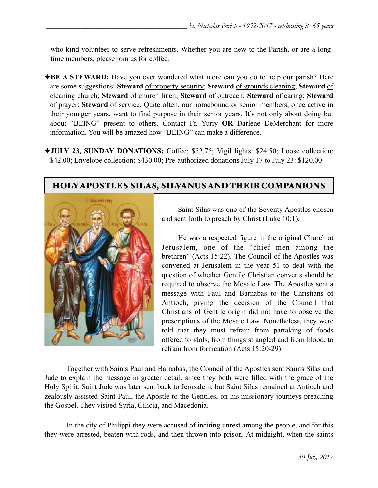who kind volunteer to serve refreshments. Whether you are new to the Parish, or are a longtime members, please join us for coffee.

- ◆**BE A STEWARD:** Have you ever wondered what more can you do to help our parish? Here are some suggestions: **Steward** of property security; **Steward** of grounds cleaning; **Steward** of cleaning church; **Steward** of church linen; **Steward** of outreach; **Steward** of caring; **Steward** of prayer; **Steward** of service. Quite often, our homebound or senior members, once active in their younger years, want to find purpose in their senior years. It's not only about doing but about "BEING" present to others. Contact Fr. Yuriy **OR** Darlene DeMerchant for more information. You will be amazed how "BEING" can make a difference.
- ✦**JULY 23, SUNDAY DONATIONS:** Coffee: \$52.75; Vigil lights: \$24.50; Loose collection: \$42.00; Envelope collection: \$430.00; Pre-authorized donations July 17 to July 23: \$120.00

## HOLY APOSTLES SILAS, SILVANUS AND THEIR COMPANIONS



 Saint Silas was one of the Seventy Apostles chosen and sent forth to preach by Christ (Luke 10:1).

He was a respected figure in the original Church at Jerusalem, one of the "chief men among the brethren" (Acts 15:22). The Council of the Apostles was convened at Jerusalem in the year 51 to deal with the question of whether Gentile Christian converts should be required to observe the Mosaic Law. The Apostles sent a message with Paul and Barnabas to the Christians of Antioch, giving the decision of the Council that Christians of Gentile origin did not have to observe the prescriptions of the Mosaic Law. Nonetheless, they were told that they must refrain from partaking of foods offered to idols, from things strangled and from blood, to refrain from fornication (Acts 15:20-29).

 Together with Saints Paul and Barnabas, the Council of the Apostles sent Saints Silas and Jude to explain the message in greater detail, since they both were filled with the grace of the Holy Spirit. Saint Jude was later sent back to Jerusalem, but Saint Silas remained at Antioch and zealously assisted Saint Paul, the Apostle to the Gentiles, on his missionary journeys preaching the Gospel. They visited Syria, Cilicia, and Macedonia.

In the city of Philippi they were accused of inciting unrest among the people, and for this they were arrested, beaten with rods, and then thrown into prison. At midnight, when the saints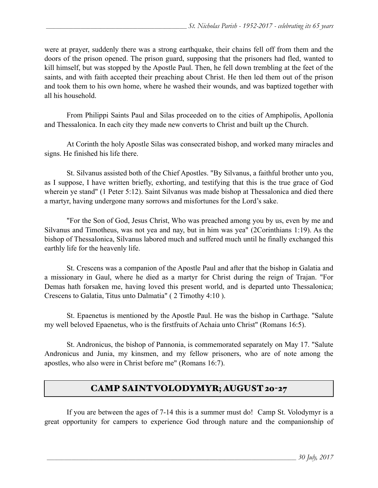were at prayer, suddenly there was a strong earthquake, their chains fell off from them and the doors of the prison opened. The prison guard, supposing that the prisoners had fled, wanted to kill himself, but was stopped by the Apostle Paul. Then, he fell down trembling at the feet of the saints, and with faith accepted their preaching about Christ. He then led them out of the prison and took them to his own home, where he washed their wounds, and was baptized together with all his household.

From Philippi Saints Paul and Silas proceeded on to the cities of Amphipolis, Apollonia and Thessalonica. In each city they made new converts to Christ and built up the Church.

At Corinth the holy Apostle Silas was consecrated bishop, and worked many miracles and signs. He finished his life there.

 St. Silvanus assisted both of the Chief Apostles. "By Silvanus, a faithful brother unto you, as I suppose, I have written briefly, exhorting, and testifying that this is the true grace of God wherein ye stand" [\(1 Peter 5:12\)](http://www.drbo.org/x/d?b=drb&bk=67&ch=5&l=12#x). Saint Silvanus was made bishop at Thessalonica and died there a martyr, having undergone many sorrows and misfortunes for the Lord's sake.

 "For the Son of God, Jesus Christ, Who was preached among you by us, even by me and Silvanus and Timotheus, was not yea and nay, but in him was yea" ([2Corinthians 1:19\)](http://www.drbo.org/x/d?b=drb&bk=54&ch=1&l=19#x). As the bishop of Thessalonica, Silvanus labored much and suffered much until he finally exchanged this earthly life for the heavenly life.

 St. Crescens was a companion of the Apostle Paul and after that the bishop in Galatia and a missionary in Gaul, where he died as a martyr for Christ during the reign of Trajan. "For Demas hath forsaken me, having loved this present world, and is departed unto Thessalonica; Crescens to Galatia, Titus unto Dalmatia" ( [2 Timothy 4:10](http://www.drbo.org/x/d?b=drb&bk=62&ch=4&l=10#x) ).

 St. Epaenetus is mentioned by the Apostle Paul. He was the bishop in Carthage. "Salute my well beloved Epaenetus, who is the firstfruits of Achaia unto Christ" [\(Romans 16:5\)](http://www.drbo.org/x/d?b=drb&bk=52&ch=16&l=5#x).

 St. Andronicus, the bishop of Pannonia, is commemorated separately on May 17. "Salute Andronicus and Junia, my kinsmen, and my fellow prisoners, who are of note among the apostles, who also were in Christ before me" ([Romans 16:7\)](http://www.drbo.org/x/d?b=drb&bk=52&ch=16&l=7#x).

# CAMP SAINT VOLODYMYR; AUGUST 20-27

 If you are between the ages of 7-14 this is a summer must do! Camp St. Volodymyr is a great opportunity for campers to experience God through nature and the companionship of